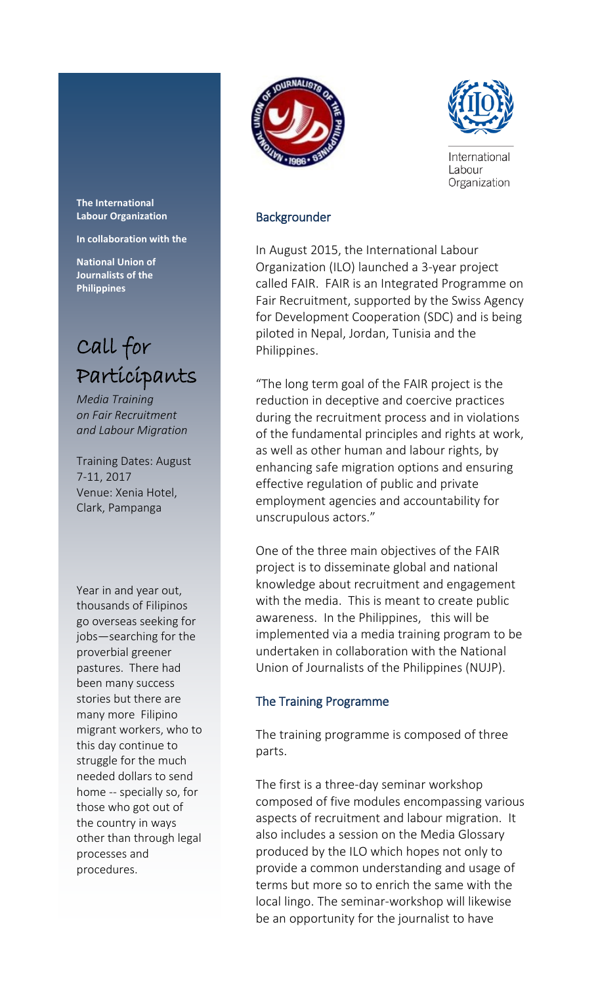

**In collaboration with the** 

**National Union of Journalists of the Philippines**

# Call for Participants

*Media Training on Fair Recruitment and Labour Migration*

Training Dates: August 7-11, 2017 Venue: Xenia Hotel, Clark, Pampanga

Year in and year out, thousands of Filipinos go overseas seeking for jobs—searching for the proverbial greener pastures. There had been many success stories but there are many more Filipino migrant workers, who to this day continue to struggle for the much needed dollars to send home -- specially so, for those who got out of the country in ways other than through legal processes and procedures.





International Labour Organization

### Backgrounder

In August 2015, the International Labour Organization (ILO) launched a 3-year project called FAIR. FAIR is an Integrated Programme on Fair Recruitment, supported by the Swiss Agency for Development Cooperation (SDC) and is being piloted in Nepal, Jordan, Tunisia and the Philippines.

"The long term goal of the FAIR project is the reduction in deceptive and coercive practices during the recruitment process and in violations of the fundamental principles and rights at work, as well as other human and labour rights, by enhancing safe migration options and ensuring effective regulation of public and private employment agencies and accountability for unscrupulous actors."

One of the three main objectives of the FAIR project is to disseminate global and national knowledge about recruitment and engagement with the media. This is meant to create public awareness. In the Philippines, this will be implemented via a media training program to be undertaken in collaboration with the National Union of Journalists of the Philippines (NUJP).

### The Training Programme

The training programme is composed of three parts.

The first is a three-day seminar workshop composed of five modules encompassing various aspects of recruitment and labour migration. It also includes a session on the Media Glossary produced by the ILO which hopes not only to provide a common understanding and usage of terms but more so to enrich the same with the local lingo. The seminar-workshop will likewise be an opportunity for the journalist to have